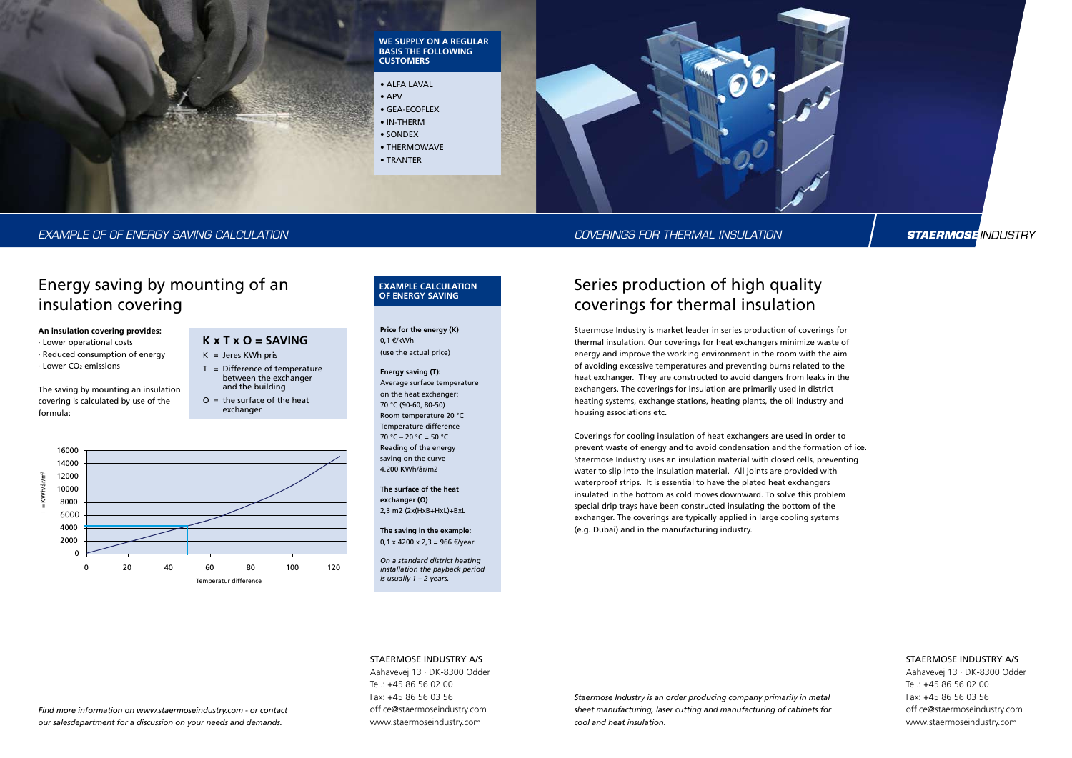

# Staermose INDUSTRY A/S

Aahavevej 13 · DK-8300 Odder Tel.: +45 86 56 02 00 Fax: +45 86 56 03 56 office@staermoseindustry.com www.staermoseindustry.com

# Series production of high quality coverings for thermal insulation

Staermose Industry is market leader in series production of coverings for thermal insulation. Our coverings for heat exchangers minimize waste of energy and improve the working environment in the room with the aim of avoiding excessive temperatures and preventing burns related to the heat exchanger. They are constructed to avoid dangers from leaks in the exchangers. The coverings for insulation are primarily used in district heating systems, exchange stations, heating plants, the oil industry and housing associations etc.

- · Lower operational costs
- · Reduced consumption of energy
- $\cdot$  Lower CO<sub>2</sub> emissions

Coverings for cooling insulation of heat exchangers are used in order to prevent waste of energy and to avoid condensation and the formation of ice. Staermose Industry uses an insulation material with closed cells, preventing water to slip into the insulation material. All joints are provided with waterproof strips. It is essential to have the plated heat exchangers insulated in the bottom as cold moves downward. To solve this problem special drip trays have been constructed insulating the bottom of the exchanger. The coverings are typically applied in large cooling systems (e.g. Dubai) and in the manufacturing industry.

- $K =$  Jeres KWh pris
- T = Difference of temperature between the exchanger and the building
- $O =$  the surface of the heat exchanger

# Energy saving by mounting of an insulation covering

**An insulation covering provides:**

The saving by mounting an insulation covering is calculated by use of the formula:

# **K x T x O = Saving**



*Staermose Industry is an order producing company primarily in metal sheet manufacturing, laser cutting and manufacturing of cabinets for cool and heat insulation.*

## Staermose INDUSTRY A/S

Aahavevej 13 · DK-8300 Odder Tel.: +45 86 56 02 00 Fax: +45 86 56 03 56 office@staermoseindustry.com www.staermoseindustry.com

**Price for the energy (K)** 0,1 €/kWh (use the actual price)

## **Energy saving (T):**

Average surface temperature on the heat exchanger: 70 °C (90-60, 80-50) Room temperature 20 °C Temperature difference 70 °C – 20 °C = 50 °C Reading of the energy saving on the curve 4.200 KWh/år/m2

**The surface of the heat exchanger (O)** 2,3 m2 (2x(HxB+HxL)+BxL

**The saving in the example:**

0,1 x 4200 x 2,3 = 966 €/year

*On a standard district heating installation the payback period is usually 1 – 2 years.*

## **Example calculation of energy saving**

- ALFA LAVAL
- APV
- Gea-Ecoflex
- IN-Therm
- sondex
- THERMOWAVE
- tranter

*Find more information on www.staermoseindustry.com - or contact our salesdepartment for a discussion on your needs and demands.*



### **We supply on a regular basis the following customers**